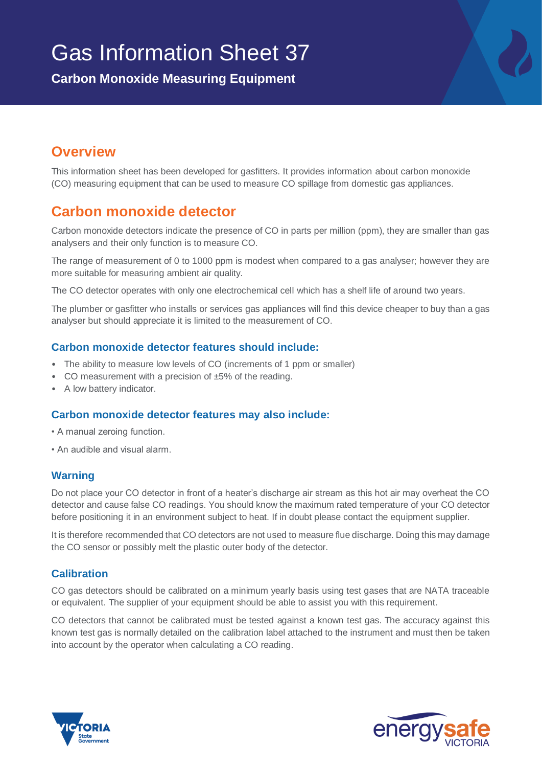# Gas Information Sheet 37

**Carbon Monoxide Measuring Equipment**

# **Overview**

This information sheet has been developed for gasfitters. It provides information about carbon monoxide (CO) measuring equipment that can be used to measure CO spillage from domestic gas appliances.

## **Carbon monoxide detector**

Carbon monoxide detectors indicate the presence of CO in parts per million (ppm), they are smaller than gas analysers and their only function is to measure CO.

The range of measurement of 0 to 1000 ppm is modest when compared to a gas analyser; however they are more suitable for measuring ambient air quality.

The CO detector operates with only one electrochemical cell which has a shelf life of around two years.

The plumber or gasfitter who installs or services gas appliances will find this device cheaper to buy than a gas analyser but should appreciate it is limited to the measurement of CO.

#### **Carbon monoxide detector features should include:**

- The ability to measure low levels of CO (increments of 1 ppm or smaller)
- CO measurement with a precision of ±5% of the reading.
- A low battery indicator.

#### **Carbon monoxide detector features may also include:**

- A manual zeroing function.
- An audible and visual alarm.

#### **Warning**

Do not place your CO detector in front of a heater's discharge air stream as this hot air may overheat the CO detector and cause false CO readings. You should know the maximum rated temperature of your CO detector before positioning it in an environment subject to heat. If in doubt please contact the equipment supplier.

It is therefore recommended that CO detectors are not used to measure flue discharge. Doing this may damage the CO sensor or possibly melt the plastic outer body of the detector.

## **Calibration**

CO gas detectors should be calibrated on a minimum yearly basis using test gases that are NATA traceable or equivalent. The supplier of your equipment should be able to assist you with this requirement.

CO detectors that cannot be calibrated must be tested against a known test gas. The accuracy against this known test gas is normally detailed on the calibration label attached to the instrument and must then be taken into account by the operator when calculating a CO reading.